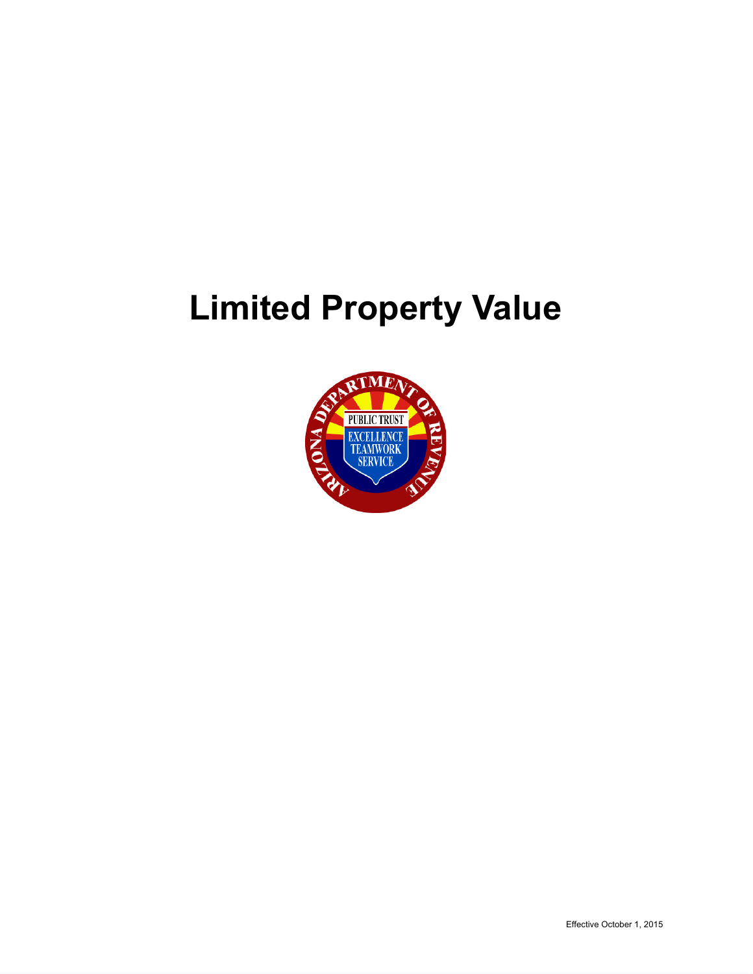# **Limited Property Value**

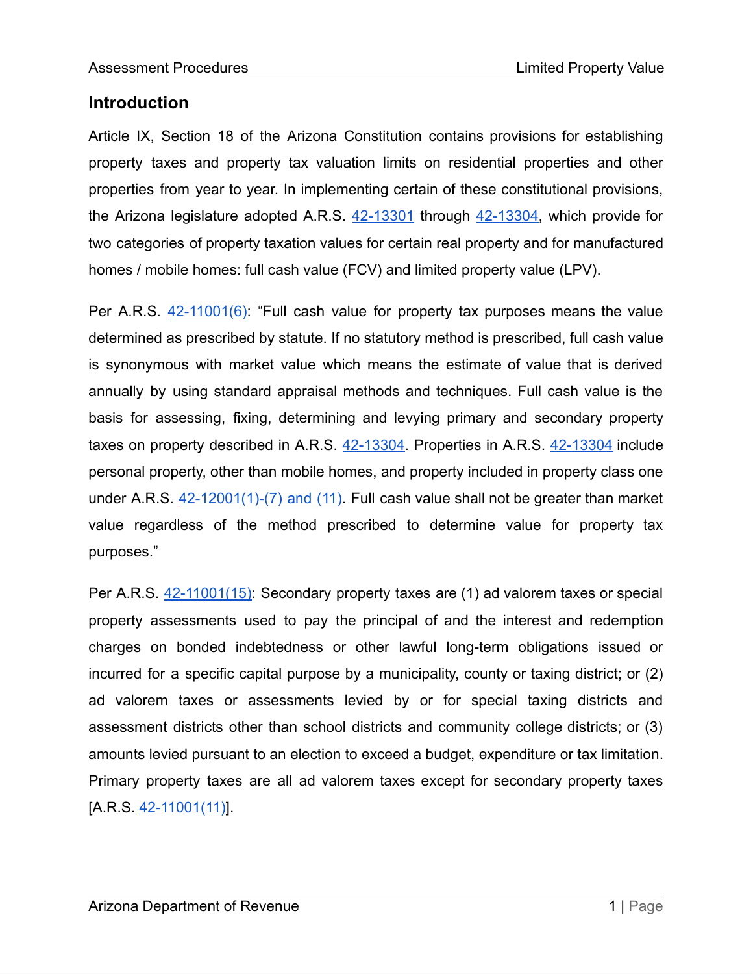## **Introduction**

Article IX, Section 18 of the Arizona Constitution contains provisions for establishing property taxes and property tax valuation limits on residential properties and other properties from year to year. In implementing certain of these constitutional provisions, the Arizona legislature adopted A.R.S. [42-13301](https://www.azleg.gov/viewDocument/?docName=http://www.azleg.gov/ars/42/13301.htm) through [42-13304](https://www.azleg.gov/viewDocument/?docName=http://www.azleg.gov/ars/42/13304.htm), which provide for two categories of property taxation values for certain real property and for manufactured homes / mobile homes: full cash value (FCV) and limited property value (LPV).

Per A.R.S. [42-11001\(6\)](https://www.azleg.gov/viewDocument/?docName=http://www.azleg.gov/ars/42/11001.htm): "Full cash value for property tax purposes means the value determined as prescribed by statute. If no statutory method is prescribed, full cash value is synonymous with market value which means the estimate of value that is derived annually by using standard appraisal methods and techniques. Full cash value is the basis for assessing, fixing, determining and levying primary and secondary property taxes on property described in A.R.S. [42-13304](https://www.azleg.gov/viewDocument/?docName=http://www.azleg.gov/ars/42/13304.htm). Properties in A.R.S. [42-13304](https://www.azleg.gov/viewDocument/?docName=http://www.azleg.gov/ars/42/13304.htm) include personal property, other than mobile homes, and property included in property class one under A.R.S. [42-12001\(1\)-\(7\)](https://www.azleg.gov/viewDocument/?docName=http://www.azleg.gov/ars/42/12001.htm) and (11). Full cash value shall not be greater than market value regardless of the method prescribed to determine value for property tax purposes."

Per A.R.S. [42-11001\(15\):](https://www.azleg.gov/viewDocument/?docName=http://www.azleg.gov/ars/42/11001.htm) Secondary property taxes are (1) ad valorem taxes or special property assessments used to pay the principal of and the interest and redemption charges on bonded indebtedness or other lawful long-term obligations issued or incurred for a specific capital purpose by a municipality, county or taxing district; or (2) ad valorem taxes or assessments levied by or for special taxing districts and assessment districts other than school districts and community college districts; or (3) amounts levied pursuant to an election to exceed a budget, expenditure or tax limitation. Primary property taxes are all ad valorem taxes except for secondary property taxes [A.R.S. [42-11001\(11\)\]](https://www.azleg.gov/viewDocument/?docName=http://www.azleg.gov/ars/42/11001.htm).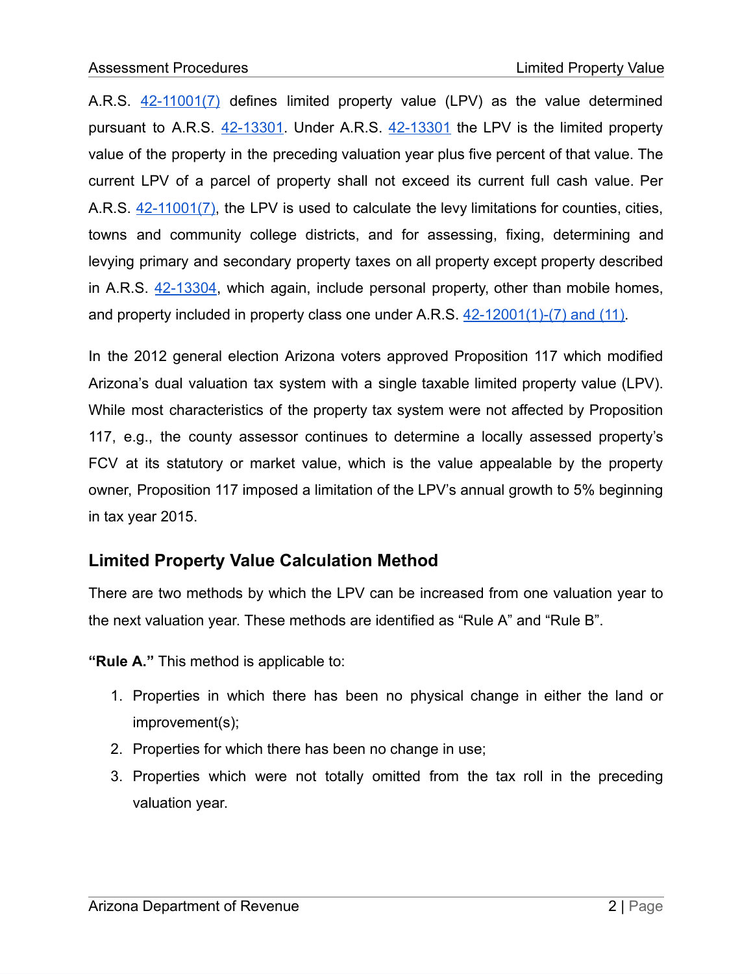A.R.S. [42-11001\(7\)](https://www.azleg.gov/viewDocument/?docName=http://www.azleg.gov/ars/42/11001.htm) defines limited property value (LPV) as the value determined pursuant to A.R.S. [42-13301.](https://www.azleg.gov/viewDocument/?docName=http://www.azleg.gov/ars/42/13301.htm) Under A.R.S. [42-13301](https://www.azleg.gov/viewDocument/?docName=http://www.azleg.gov/ars/42/13301.htm) the LPV is the limited property value of the property in the preceding valuation year plus five percent of that value. The current LPV of a parcel of property shall not exceed its current full cash value. Per A.R.S. [42-11001\(7\),](https://www.azleg.gov/viewDocument/?docName=http://www.azleg.gov/ars/42/11001.htm) the LPV is used to calculate the levy limitations for counties, cities, towns and community college districts, and for assessing, fixing, determining and levying primary and secondary property taxes on all property except property described in A.R.S. [42-13304](https://www.azleg.gov/viewDocument/?docName=http://www.azleg.gov/ars/42/13304.htm), which again, include personal property, other than mobile homes, and property included in property class one under A.R.S. [42-12001\(1\)-\(7\)](https://www.azleg.gov/viewDocument/?docName=http://www.azleg.gov/ars/42/12001.htm) and (11).

In the 2012 general election Arizona voters approved Proposition 117 which modified Arizona's dual valuation tax system with a single taxable limited property value (LPV). While most characteristics of the property tax system were not affected by Proposition 117, e.g., the county assessor continues to determine a locally assessed property's FCV at its statutory or market value, which is the value appealable by the property owner, Proposition 117 imposed a limitation of the LPV's annual growth to 5% beginning in tax year 2015.

### **Limited Property Value Calculation Method**

There are two methods by which the LPV can be increased from one valuation year to the next valuation year. These methods are identified as "Rule A" and "Rule B".

**"Rule A."** This method is applicable to:

- 1. Properties in which there has been no physical change in either the land or improvement(s);
- 2. Properties for which there has been no change in use;
- 3. Properties which were not totally omitted from the tax roll in the preceding valuation year.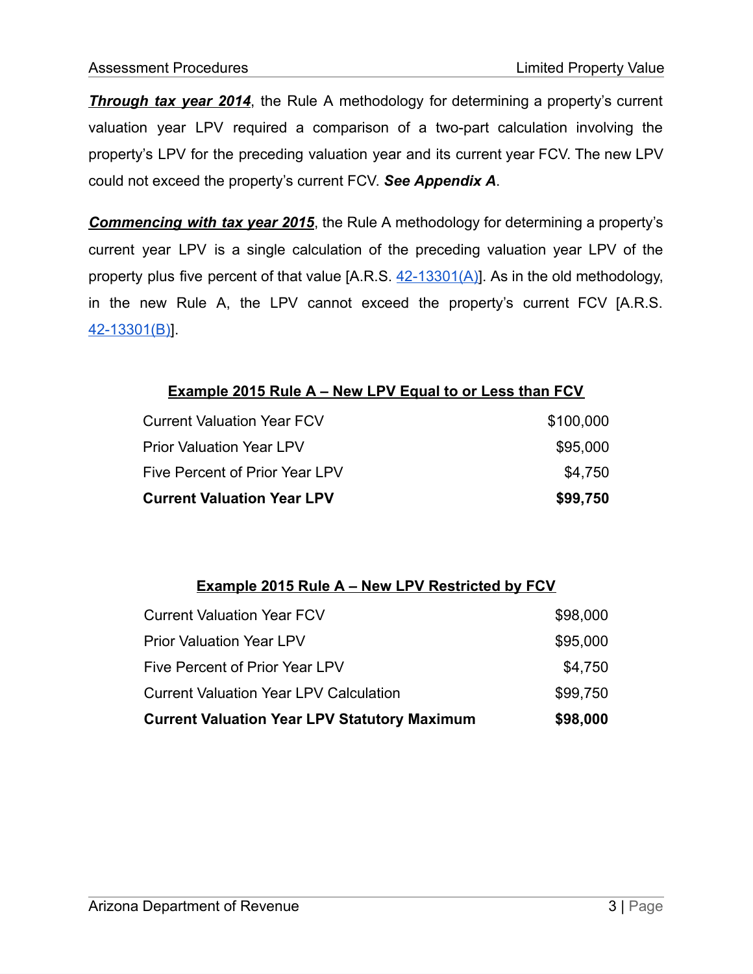*Through tax year 2014*, the Rule A methodology for determining a property's current valuation year LPV required a comparison of a two-part calculation involving the property's LPV for the preceding valuation year and its current year FCV. The new LPV could not exceed the property's current FCV. *See Appendix A*.

*Commencing with tax year 2015*, the Rule A methodology for determining a property's current year LPV is a single calculation of the preceding valuation year LPV of the property plus five percent of that value  $[A.R.S. 42-13301(A)]$  $[A.R.S. 42-13301(A)]$  $[A.R.S. 42-13301(A)]$ . As in the old methodology, in the new Rule A, the LPV cannot exceed the property's current FCV [A.R.S. [42-13301\(B\)\]](https://www.azleg.gov/viewDocument/?docName=http://www.azleg.gov/ars/42/13301.htm).

#### **Example 2015 Rule A – New LPV Equal to or Less than FCV**

| <b>Current Valuation Year LPV</b> | \$99,750  |
|-----------------------------------|-----------|
| Five Percent of Prior Year LPV    | \$4.750   |
| <b>Prior Valuation Year LPV</b>   | \$95,000  |
| Current Valuation Year FCV        | \$100,000 |

#### **Example 2015 Rule A – New LPV Restricted by FCV**

| <b>Current Valuation Year LPV Statutory Maximum</b> | \$98,000 |
|-----------------------------------------------------|----------|
| <b>Current Valuation Year LPV Calculation</b>       | \$99,750 |
| Five Percent of Prior Year LPV                      | \$4,750  |
| <b>Prior Valuation Year LPV</b>                     | \$95,000 |
| <b>Current Valuation Year FCV</b>                   | \$98,000 |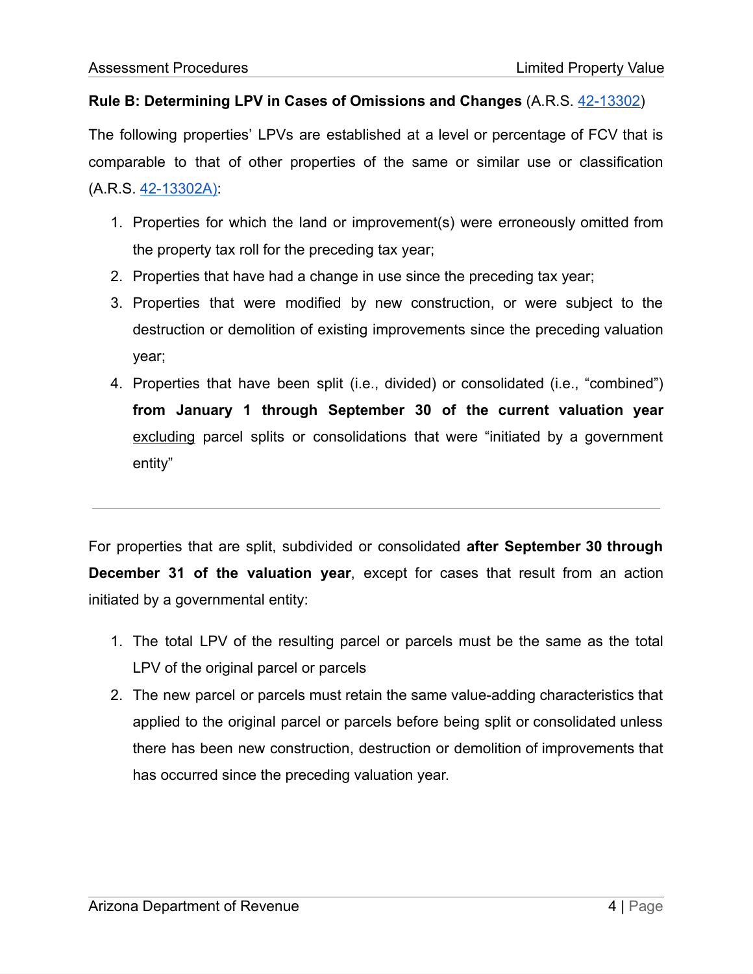#### **Rule B: Determining LPV in Cases of Omissions and Changes** (A.R.S. [42-13302](https://www.azleg.gov/viewDocument/?docName=http://www.azleg.gov/ars/42/13302.htm))

The following properties' LPVs are established at a level or percentage of FCV that is comparable to that of other properties of the same or similar use or classification (A.R.S. [42-13302A\):](https://www.azleg.gov/viewDocument/?docName=http://www.azleg.gov/ars/42/13302.htm)

- 1. Properties for which the land or improvement(s) were erroneously omitted from the property tax roll for the preceding tax year;
- 2. Properties that have had a change in use since the preceding tax year;
- 3. Properties that were modified by new construction, or were subject to the destruction or demolition of existing improvements since the preceding valuation year;
- 4. Properties that have been split (i.e., divided) or consolidated (i.e., "combined") **from January 1 through September 30 of the current valuation year** excluding parcel splits or consolidations that were "initiated by a government entity"

For properties that are split, subdivided or consolidated **after September 30 through December 31 of the valuation year**, except for cases that result from an action initiated by a governmental entity:

- 1. The total LPV of the resulting parcel or parcels must be the same as the total LPV of the original parcel or parcels
- 2. The new parcel or parcels must retain the same value-adding characteristics that applied to the original parcel or parcels before being split or consolidated unless there has been new construction, destruction or demolition of improvements that has occurred since the preceding valuation year.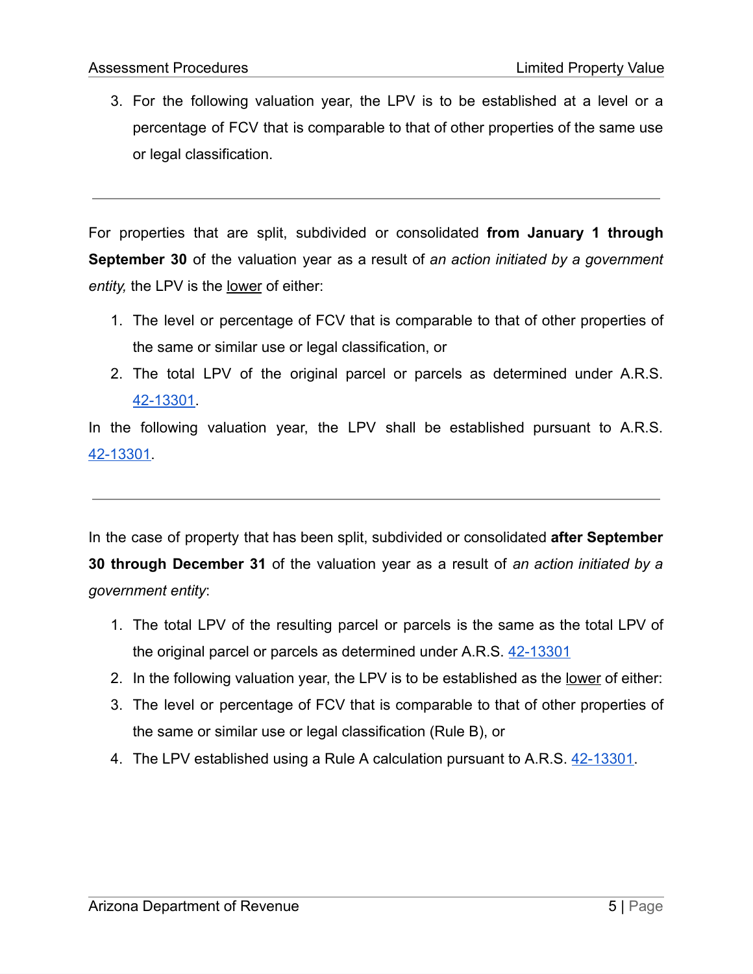3. For the following valuation year, the LPV is to be established at a level or a percentage of FCV that is comparable to that of other properties of the same use or legal classification.

For properties that are split, subdivided or consolidated **from January 1 through September 30** of the valuation year as a result of *an action initiated by a government entity,* the LPV is the lower of either:

- 1. The level or percentage of FCV that is comparable to that of other properties of the same or similar use or legal classification, or
- 2. The total LPV of the original parcel or parcels as determined under A.R.S. [42-13301.](https://www.azleg.gov/viewDocument/?docName=http://www.azleg.gov/ars/42/13301.htm)

In the following valuation year, the LPV shall be established pursuant to A.R.S. [42-13301.](https://www.azleg.gov/viewDocument/?docName=http://www.azleg.gov/ars/42/13301.htm)

In the case of property that has been split, subdivided or consolidated **after September 30 through December 31** of the valuation year as a result of *an action initiated by a government entity*:

- 1. The total LPV of the resulting parcel or parcels is the same as the total LPV of the original parcel or parcels as determined under A.R.S. [42-13301](https://www.azleg.gov/viewDocument/?docName=http://www.azleg.gov/ars/42/13301.htm)
- 2. In the following valuation year, the LPV is to be established as the lower of either:
- 3. The level or percentage of FCV that is comparable to that of other properties of the same or similar use or legal classification (Rule B), or
- 4. The LPV established using a Rule A calculation pursuant to A.R.S. [42-13301](https://www.azleg.gov/viewDocument/?docName=http://www.azleg.gov/ars/42/13301.htm).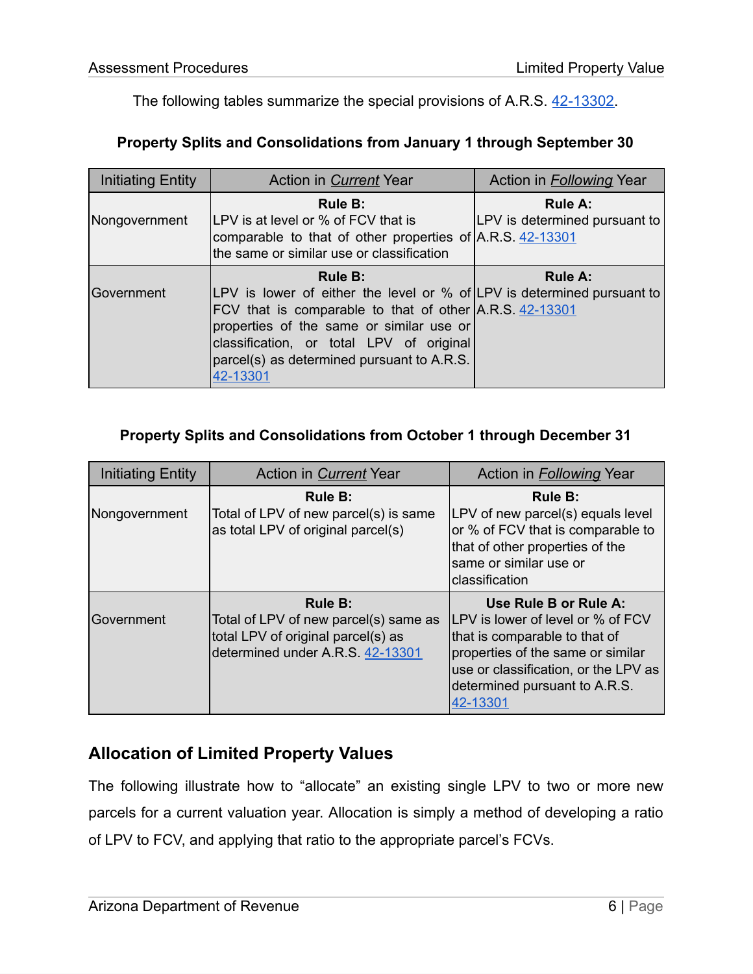The following tables summarize the special provisions of A.R.S. [42-13302.](https://www.azleg.gov/viewDocument/?docName=http://www.azleg.gov/ars/42/13302.htm)

#### **Property Splits and Consolidations from January 1 through September 30**

| Initiating Entity | Action in <i>Current</i> Year                                                                                                                                                                                                                                                                         | Action in Following Year                        |
|-------------------|-------------------------------------------------------------------------------------------------------------------------------------------------------------------------------------------------------------------------------------------------------------------------------------------------------|-------------------------------------------------|
| Nongovernment     | Rule B:<br>LPV is at level or % of FCV that is<br>comparable to that of other properties of A.R.S. 42-13301<br>the same or similar use or classification                                                                                                                                              | <b>Rule A:</b><br>LPV is determined pursuant to |
| Government        | <b>Rule B:</b><br>LPV is lower of either the level or % of LPV is determined pursuant to<br>FCV that is comparable to that of other A.R.S. 42-13301<br>properties of the same or similar use or<br>classification, or total LPV of original<br>parcel(s) as determined pursuant to A.R.S.<br>42-13301 | <b>Rule A:</b>                                  |

#### **Property Splits and Consolidations from October 1 through December 31**

| <b>Initiating Entity</b> | Action in <i>Current</i> Year                                                                                                     | Action in <b>Following</b> Year                                                                                                                                                                                        |
|--------------------------|-----------------------------------------------------------------------------------------------------------------------------------|------------------------------------------------------------------------------------------------------------------------------------------------------------------------------------------------------------------------|
| Nongovernment            | Rule B:<br>Total of LPV of new parcel(s) is same<br>as total LPV of original parcel(s)                                            | Rule B:<br>LPV of new parcel(s) equals level<br>or % of FCV that is comparable to<br>that of other properties of the<br>same or similar use or<br><b>classification</b>                                                |
| Government               | <b>Rule B:</b><br>Total of LPV of new parcel(s) same as<br>total LPV of original parcel(s) as<br>determined under A.R.S. 42-13301 | Use Rule B or Rule A:<br>ILPV is lower of level or % of FCV<br>that is comparable to that of<br>properties of the same or similar<br>use or classification, or the LPV as<br>determined pursuant to A.R.S.<br>42-13301 |

# **Allocation of Limited Property Values**

The following illustrate how to "allocate" an existing single LPV to two or more new parcels for a current valuation year. Allocation is simply a method of developing a ratio of LPV to FCV, and applying that ratio to the appropriate parcel's FCVs.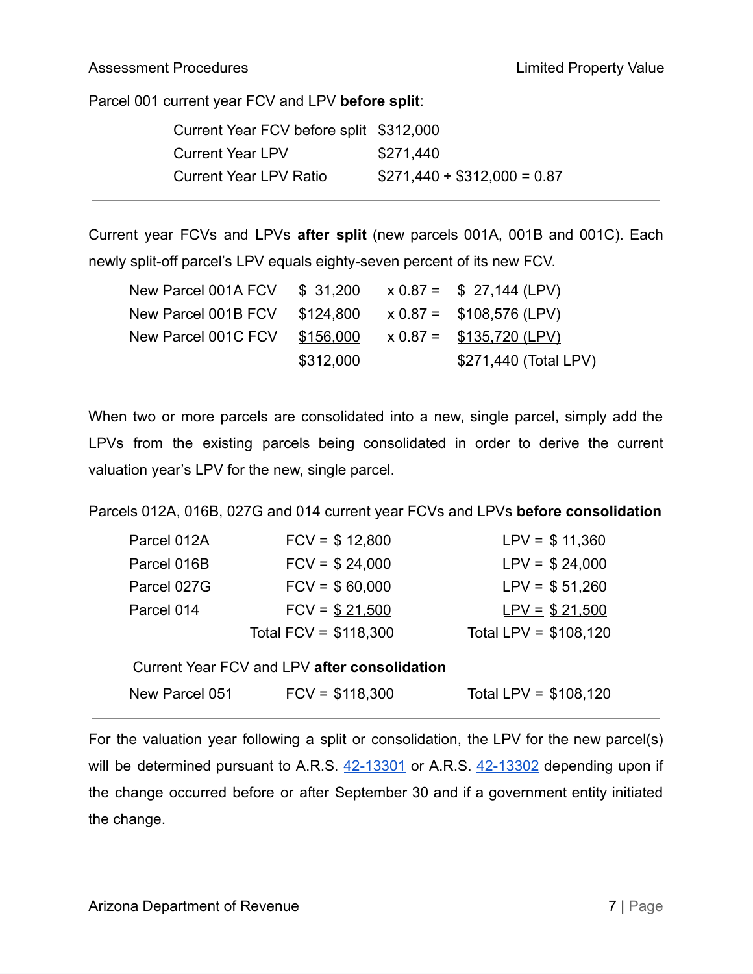Parcel 001 current year FCV and LPV **before split**:

| Current Year FCV before split \$312,000 |                                 |
|-----------------------------------------|---------------------------------|
| <b>Current Year LPV</b>                 | \$271,440                       |
| <b>Current Year LPV Ratio</b>           | $$271,440 \div $312,000 = 0.87$ |

Current year FCVs and LPVs **after split** (new parcels 001A, 001B and 001C). Each newly split-off parcel's LPV equals eighty-seven percent of its new FCV.

| New Parcel 001A FCV \$ 31,200 |           | $x 0.87 =$ \$ 27,144 (LPV) |
|-------------------------------|-----------|----------------------------|
| New Parcel 001B FCV \$124,800 |           | $x 0.87 = $108,576$ (LPV)  |
| New Parcel 001C FCV           | \$156,000 | $x 0.87 = $135,720$ (LPV)  |
|                               | \$312,000 | \$271,440 (Total LPV)      |
|                               |           |                            |

When two or more parcels are consolidated into a new, single parcel, simply add the LPVs from the existing parcels being consolidated in order to derive the current valuation year's LPV for the new, single parcel.

Parcels 012A, 016B, 027G and 014 current year FCVs and LPVs **before consolidation**

| Parcel 012A | $FCV = $ 12,800$       | $LPV = $ 11,360$       |
|-------------|------------------------|------------------------|
| Parcel 016B | $FCV = $24,000$        | $LPV = $24,000$        |
| Parcel 027G | $FCV = $60,000$        | $LPV = $ 51,260$       |
| Parcel 014  | $FCV = $21,500$        | $LPV = $21,500$        |
|             | Total $FCV = $118,300$ | Total LPV = $$108,120$ |

#### Current Year FCV and LPV **after consolidation**

| New Parcel 051 | $FCV = $118,300$ | Total LPV = $$108,120$ |
|----------------|------------------|------------------------|
|                |                  |                        |

For the valuation year following a split or consolidation, the LPV for the new parcel(s) will be determined pursuant to A.R.S. [42-13301](https://www.azleg.gov/viewDocument/?docName=http://www.azleg.gov/ars/42/13301.htm) or A.R.S. [42-13302](https://www.azleg.gov/viewDocument/?docName=http://www.azleg.gov/ars/42/13302.htm) depending upon if the change occurred before or after September 30 and if a government entity initiated the change.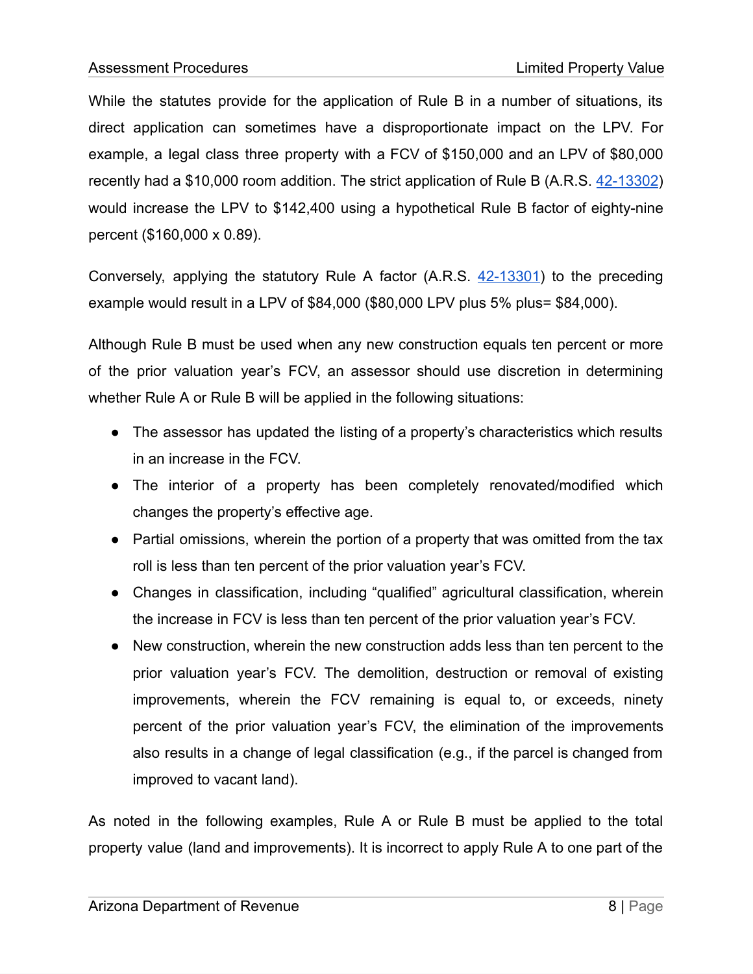While the statutes provide for the application of Rule B in a number of situations, its direct application can sometimes have a disproportionate impact on the LPV. For example, a legal class three property with a FCV of \$150,000 and an LPV of \$80,000 recently had a \$10,000 room addition. The strict application of Rule B (A.R.S. [42-13302\)](https://www.azleg.gov/viewDocument/?docName=http://www.azleg.gov/ars/42/13302.htm) would increase the LPV to \$142,400 using a hypothetical Rule B factor of eighty-nine percent (\$160,000 x 0.89).

Conversely, applying the statutory Rule A factor  $(A.R.S. 42-13301)$  $(A.R.S. 42-13301)$  to the preceding example would result in a LPV of \$84,000 (\$80,000 LPV plus 5% plus= \$84,000).

Although Rule B must be used when any new construction equals ten percent or more of the prior valuation year's FCV, an assessor should use discretion in determining whether Rule A or Rule B will be applied in the following situations:

- The assessor has updated the listing of a property's characteristics which results in an increase in the FCV.
- The interior of a property has been completely renovated/modified which changes the property's effective age.
- Partial omissions, wherein the portion of a property that was omitted from the tax roll is less than ten percent of the prior valuation year's FCV.
- Changes in classification, including "qualified" agricultural classification, wherein the increase in FCV is less than ten percent of the prior valuation year's FCV.
- New construction, wherein the new construction adds less than ten percent to the prior valuation year's FCV. The demolition, destruction or removal of existing improvements, wherein the FCV remaining is equal to, or exceeds, ninety percent of the prior valuation year's FCV, the elimination of the improvements also results in a change of legal classification (e.g., if the parcel is changed from improved to vacant land).

As noted in the following examples, Rule A or Rule B must be applied to the total property value (land and improvements). It is incorrect to apply Rule A to one part of the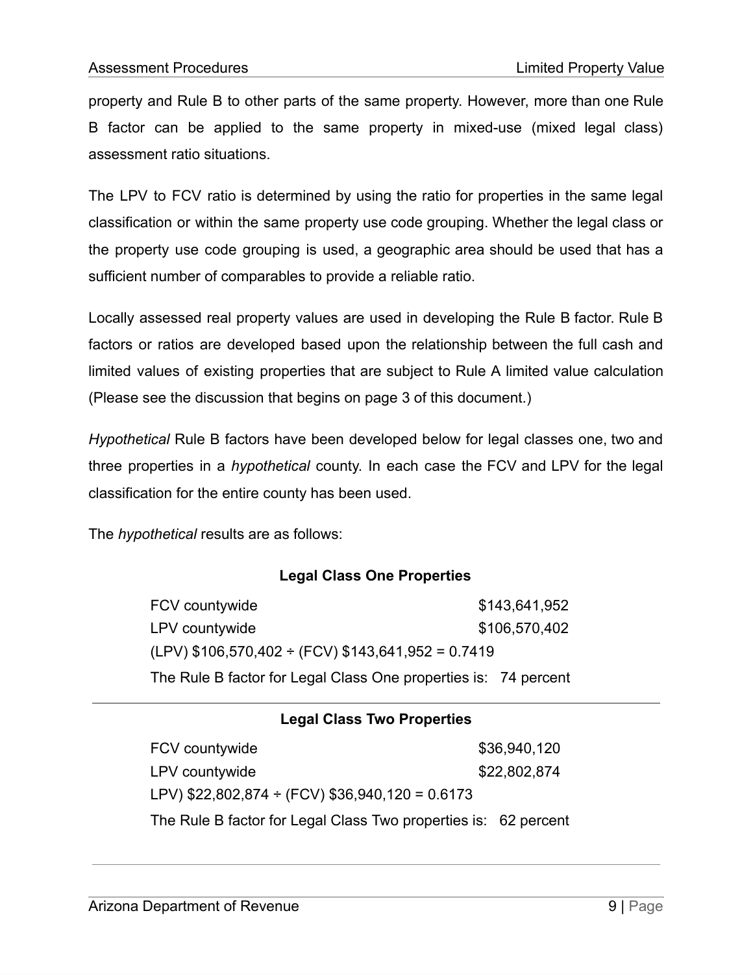property and Rule B to other parts of the same property. However, more than one Rule B factor can be applied to the same property in mixed-use (mixed legal class) assessment ratio situations.

The LPV to FCV ratio is determined by using the ratio for properties in the same legal classification or within the same property use code grouping. Whether the legal class or the property use code grouping is used, a geographic area should be used that has a sufficient number of comparables to provide a reliable ratio.

Locally assessed real property values are used in developing the Rule B factor. Rule B factors or ratios are developed based upon the relationship between the full cash and limited values of existing properties that are subject to Rule A limited value calculation (Please see the discussion that begins on page 3 of this document.)

*Hypothetical* Rule B factors have been developed below for legal classes one, two and three properties in a *hypothetical* county. In each case the FCV and LPV for the legal classification for the entire county has been used.

The *hypothetical* results are as follows:

#### **Legal Class One Properties**

FCV countywide  $$143,641,952$ LPV countywide  $$106,570,402$  $(LPV)$  \$106,570,402 ÷ (FCV) \$143,641,952 = 0.7419 The Rule B factor for Legal Class One properties is: 74 percent

#### **Legal Class Two Properties**

FCV countywide  $$36,940,120$ LPV countywide  $$22,802,874$ LPV)  $$22,802,874 \div (FCV) $36,940,120 = 0.6173$ The Rule B factor for Legal Class Two properties is: 62 percent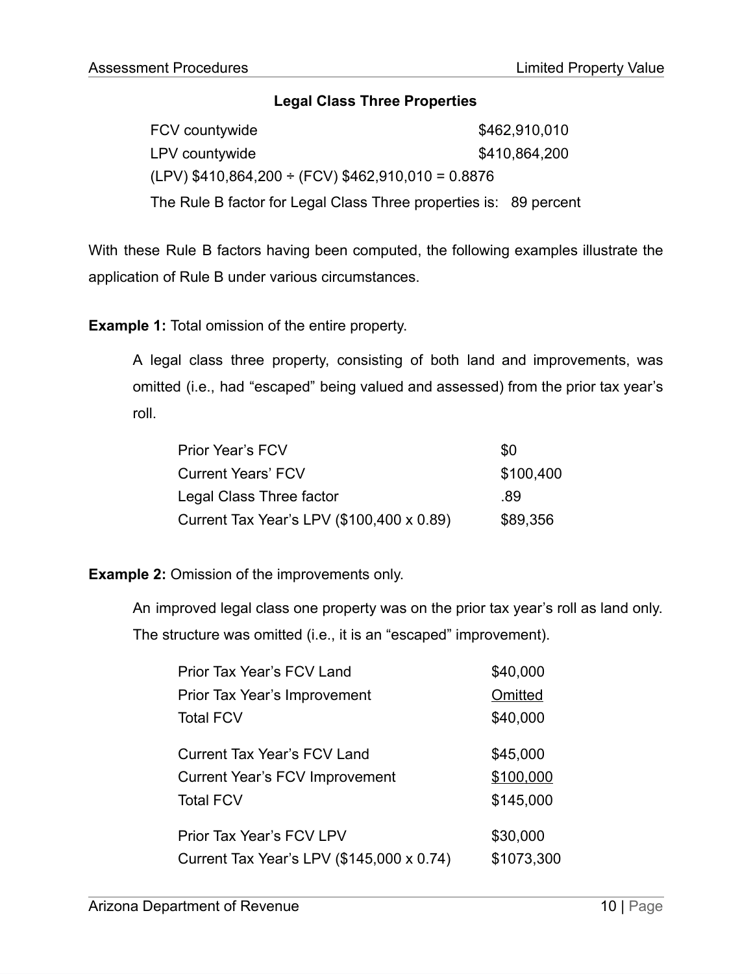#### **Legal Class Three Properties**

FCV countywide  $$462,910,010$ LPV countywide  $$410,864,200$  $(LPV)$  \$410,864,200 ÷ (FCV) \$462,910,010 = 0.8876 The Rule B factor for Legal Class Three properties is: 89 percent

With these Rule B factors having been computed, the following examples illustrate the application of Rule B under various circumstances.

**Example 1:** Total omission of the entire property.

A legal class three property, consisting of both land and improvements, was omitted (i.e., had "escaped" being valued and assessed) from the prior tax year's roll.

| <b>Prior Year's FCV</b>                   | \$0       |
|-------------------------------------------|-----------|
| <b>Current Years' FCV</b>                 | \$100,400 |
| Legal Class Three factor                  | .89       |
| Current Tax Year's LPV (\$100,400 x 0.89) | \$89,356  |

**Example 2:** Omission of the improvements only.

An improved legal class one property was on the prior tax year's roll as land only.

The structure was omitted (i.e., it is an "escaped" improvement).

| Prior Tax Year's FCV Land                 | \$40,000   |
|-------------------------------------------|------------|
| <b>Prior Tax Year's Improvement</b>       | Omitted    |
| <b>Total FCV</b>                          | \$40,000   |
| <b>Current Tax Year's FCV Land</b>        | \$45,000   |
| <b>Current Year's FCV Improvement</b>     | \$100,000  |
| <b>Total FCV</b>                          | \$145,000  |
| Prior Tax Year's FCV LPV                  | \$30,000   |
| Current Tax Year's LPV (\$145,000 x 0.74) | \$1073,300 |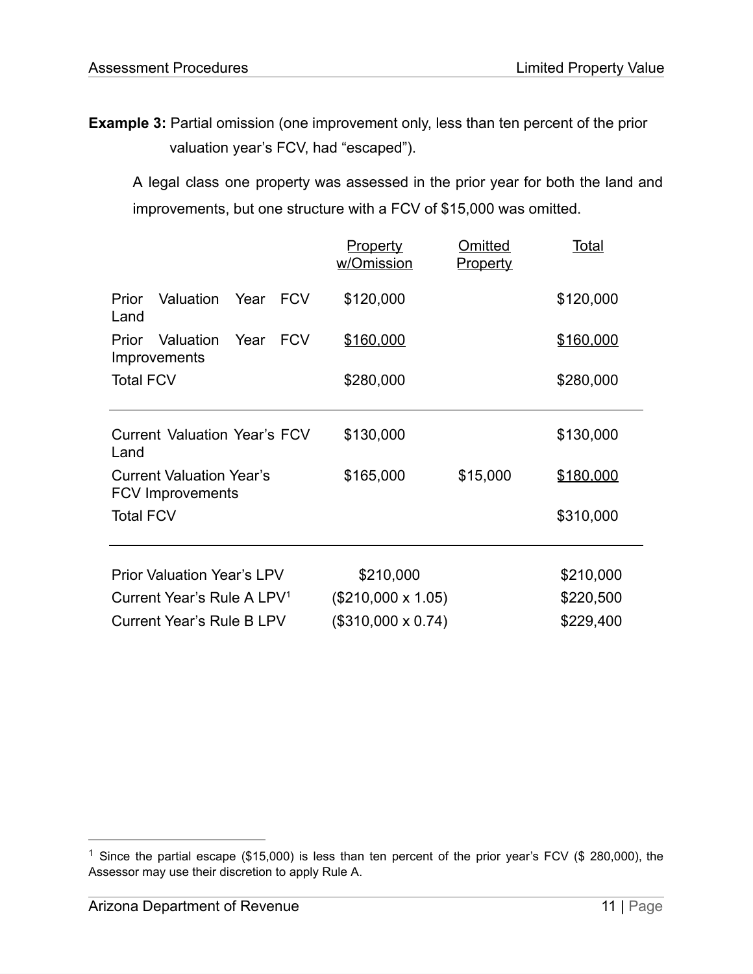**Example 3:** Partial omission (one improvement only, less than ten percent of the prior valuation year's FCV, had "escaped").

A legal class one property was assessed in the prior year for both the land and improvements, but one structure with a FCV of \$15,000 was omitted.

|                                                            | <u>Property</u><br>w/Omission | Omitted<br><b>Property</b> | Total     |
|------------------------------------------------------------|-------------------------------|----------------------------|-----------|
| Valuation<br>Year<br><b>FCV</b><br>Prior<br>Land           | \$120,000                     |                            | \$120,000 |
| Valuation<br>Prior<br>Year<br><b>FCV</b><br>Improvements   | \$160,000                     |                            | \$160,000 |
| <b>Total FCV</b>                                           | \$280,000                     |                            | \$280,000 |
| <b>Current Valuation Year's FCV</b><br>Land                | \$130,000                     |                            | \$130,000 |
| <b>Current Valuation Year's</b><br><b>FCV Improvements</b> | \$165,000                     | \$15,000                   | \$180,000 |
| <b>Total FCV</b>                                           |                               |                            | \$310,000 |
| <b>Prior Valuation Year's LPV</b>                          | \$210,000                     |                            | \$210,000 |
| Current Year's Rule A LPV <sup>1</sup>                     | $($210,000 \times 1.05)$      |                            | \$220,500 |
| <b>Current Year's Rule B LPV</b>                           | $($310,000 \times 0.74)$      |                            | \$229,400 |

<sup>&</sup>lt;sup>1</sup> Since the partial escape (\$15,000) is less than ten percent of the prior year's FCV (\$ 280,000), the Assessor may use their discretion to apply Rule A.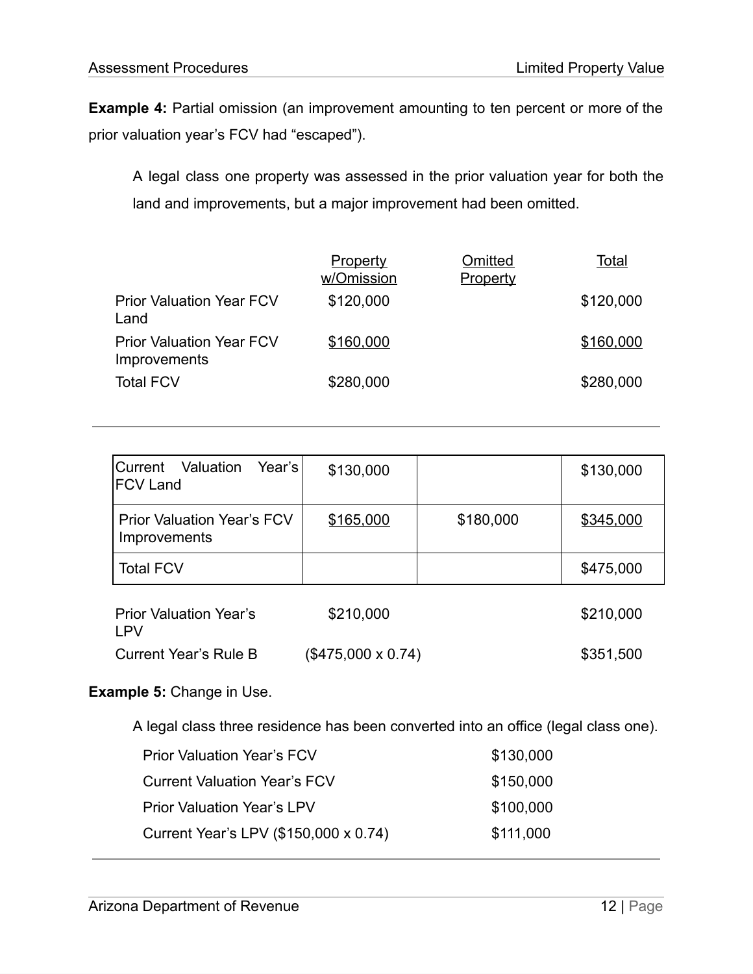**Example 4:** Partial omission (an improvement amounting to ten percent or more of the prior valuation year's FCV had "escaped").

A legal class one property was assessed in the prior valuation year for both the land and improvements, but a major improvement had been omitted.

|                                                 | <b>Property</b><br>w/Omission | Omitted<br><b>Property</b> | Total     |
|-------------------------------------------------|-------------------------------|----------------------------|-----------|
| <b>Prior Valuation Year FCV</b><br>Land         | \$120,000                     |                            | \$120,000 |
| <b>Prior Valuation Year FCV</b><br>Improvements | \$160,000                     |                            | \$160,000 |
| <b>Total FCV</b>                                | \$280,000                     |                            | \$280,000 |

| Current Valuation<br>Year's<br><b>IFCV Land</b>   | \$130,000 |           | \$130,000 |
|---------------------------------------------------|-----------|-----------|-----------|
| <b>Prior Valuation Year's FCV</b><br>Improvements | \$165,000 | \$180,000 | \$345,000 |
| <b>Total FCV</b>                                  |           |           | \$475,000 |

| <b>Prior Valuation Year's</b><br>I PV | \$210,000                | \$210,000 |
|---------------------------------------|--------------------------|-----------|
| <b>Current Year's Rule B</b>          | $($475,000 \times 0.74)$ | \$351,500 |

#### **Example 5:** Change in Use.

A legal class three residence has been converted into an office (legal class one).

| <b>Prior Valuation Year's FCV</b>     | \$130,000 |
|---------------------------------------|-----------|
| <b>Current Valuation Year's FCV</b>   | \$150,000 |
| <b>Prior Valuation Year's LPV</b>     | \$100,000 |
| Current Year's LPV (\$150,000 x 0.74) | \$111,000 |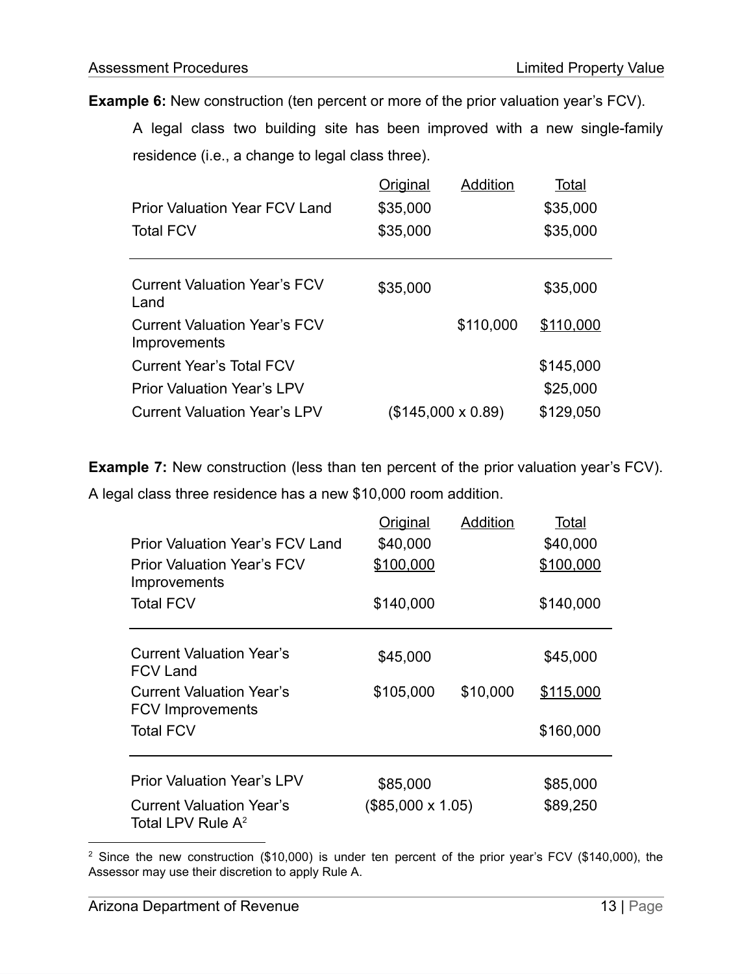**Example 6:** New construction (ten percent or more of the prior valuation year's FCV).

A legal class two building site has been improved with a new single-family residence (i.e., a change to legal class three).

|                                                     | Original                 | Addition  | Total     |  |
|-----------------------------------------------------|--------------------------|-----------|-----------|--|
| <b>Prior Valuation Year FCV Land</b>                | \$35,000                 |           | \$35,000  |  |
| <b>Total FCV</b>                                    | \$35,000                 |           | \$35,000  |  |
|                                                     |                          |           |           |  |
| <b>Current Valuation Year's FCV</b><br>Land         | \$35,000                 |           | \$35,000  |  |
| <b>Current Valuation Year's FCV</b><br>Improvements |                          | \$110,000 | \$110,000 |  |
| <b>Current Year's Total FCV</b>                     |                          |           | \$145,000 |  |
| <b>Prior Valuation Year's LPV</b>                   |                          |           | \$25,000  |  |
| <b>Current Valuation Year's LPV</b>                 | $($145,000 \times 0.89)$ |           | \$129,050 |  |
|                                                     |                          |           |           |  |

**Example 7:** New construction (less than ten percent of the prior valuation year's FCV).

A legal class three residence has a new \$10,000 room addition.

|                                                            | <b>Original</b>         | Addition | Total     |
|------------------------------------------------------------|-------------------------|----------|-----------|
| <b>Prior Valuation Year's FCV Land</b>                     | \$40,000                |          | \$40,000  |
| <b>Prior Valuation Year's FCV</b><br>Improvements          | \$100,000               |          | \$100,000 |
| <b>Total FCV</b>                                           | \$140,000               |          | \$140,000 |
| <b>Current Valuation Year's</b><br><b>FCV Land</b>         | \$45,000                |          | \$45,000  |
| <b>Current Valuation Year's</b><br><b>FCV Improvements</b> | \$105,000               | \$10,000 | \$115,000 |
| <b>Total FCV</b>                                           |                         |          | \$160,000 |
| <b>Prior Valuation Year's LPV</b>                          | \$85,000                |          | \$85,000  |
| <b>Current Valuation Year's</b><br>Total LPV Rule $A^2$    | $($85,000 \times 1.05)$ |          | \$89,250  |

 $2$  Since the new construction (\$10,000) is under ten percent of the prior year's FCV (\$140,000), the Assessor may use their discretion to apply Rule A.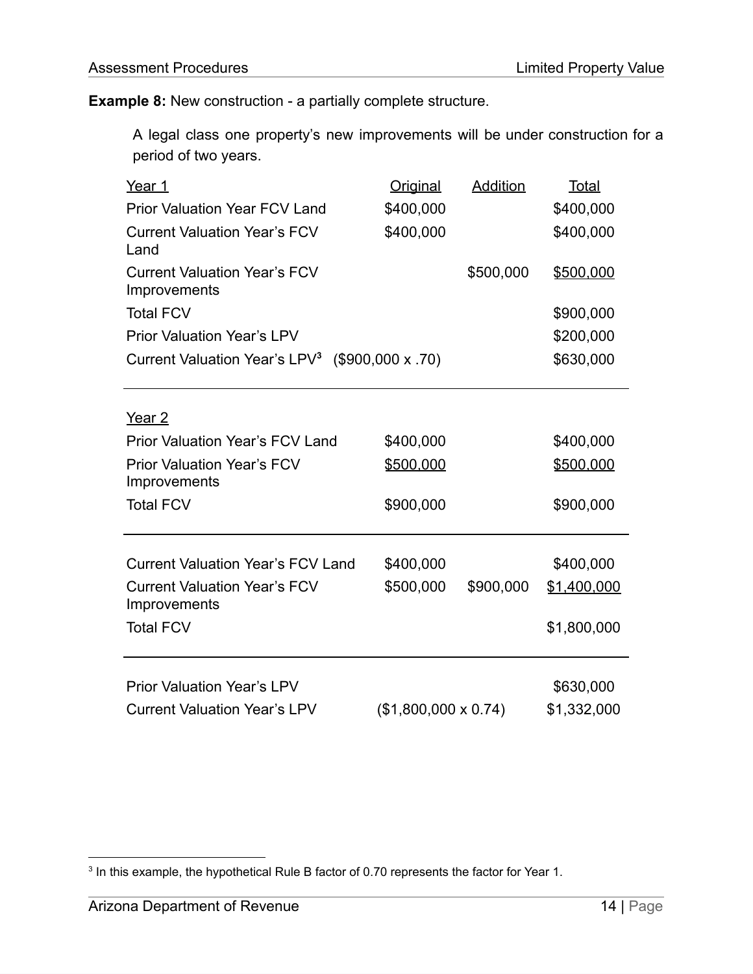**Example 8:** New construction - a partially complete structure.

A legal class one property's new improvements will be under construction for a period of two years.

| Year 1                                              | <b>Original</b>            | Addition  | Total       |
|-----------------------------------------------------|----------------------------|-----------|-------------|
| <b>Prior Valuation Year FCV Land</b>                | \$400,000                  |           | \$400,000   |
| <b>Current Valuation Year's FCV</b><br>Land         | \$400,000                  |           | \$400,000   |
| <b>Current Valuation Year's FCV</b><br>Improvements |                            | \$500,000 | \$500,000   |
| <b>Total FCV</b>                                    |                            |           | \$900,000   |
| <b>Prior Valuation Year's LPV</b>                   |                            |           | \$200,000   |
| Current Valuation Year's LPV <sup>3</sup>           | $($900,000 \times .70)$    |           | \$630,000   |
| Year 2                                              |                            |           |             |
| <b>Prior Valuation Year's FCV Land</b>              | \$400,000                  |           | \$400,000   |
| <b>Prior Valuation Year's FCV</b><br>Improvements   | \$500,000                  |           | \$500,000   |
| <b>Total FCV</b>                                    | \$900,000                  |           | \$900,000   |
| <b>Current Valuation Year's FCV Land</b>            | \$400,000                  |           | \$400,000   |
| <b>Current Valuation Year's FCV</b><br>Improvements | \$500,000                  | \$900,000 | \$1,400,000 |
| <b>Total FCV</b>                                    |                            |           | \$1,800,000 |
| <b>Prior Valuation Year's LPV</b>                   |                            |           | \$630,000   |
| <b>Current Valuation Year's LPV</b>                 | $($1,800,000 \times 0.74)$ |           | \$1,332,000 |

<sup>&</sup>lt;sup>3</sup> In this example, the hypothetical Rule B factor of 0.70 represents the factor for Year 1.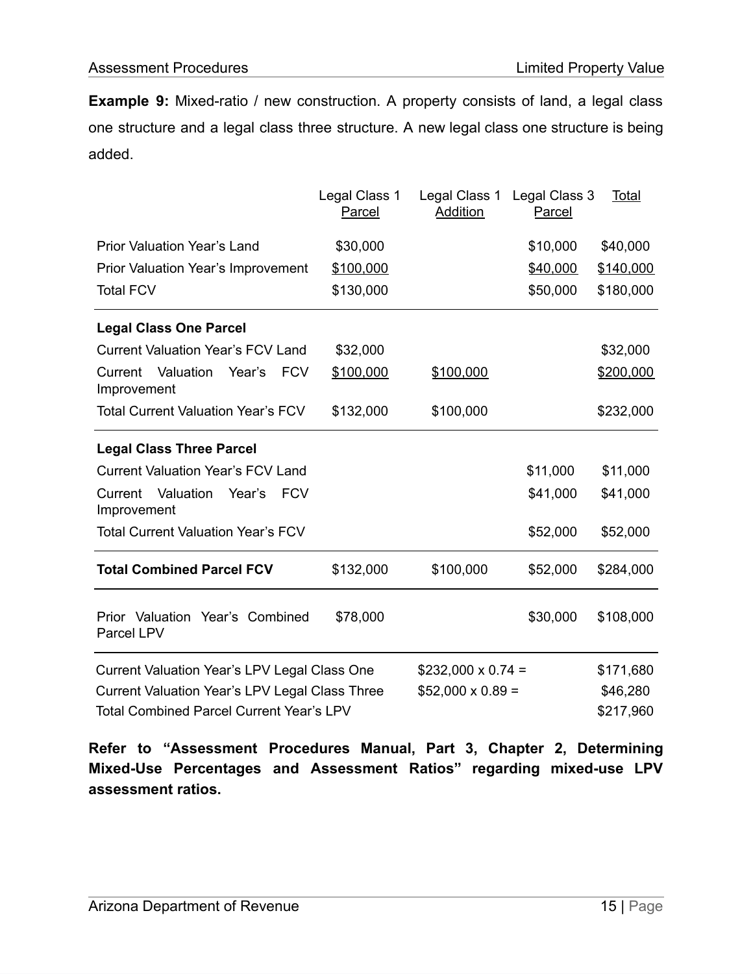**Example 9:** Mixed-ratio / new construction. A property consists of land, a legal class one structure and a legal class three structure. A new legal class one structure is being added.

|                                                             | Legal Class 1<br>Parcel | Legal Class 1<br><b>Addition</b> | Legal Class 3<br>Parcel | Total     |
|-------------------------------------------------------------|-------------------------|----------------------------------|-------------------------|-----------|
| <b>Prior Valuation Year's Land</b>                          | \$30,000                |                                  | \$10,000                | \$40,000  |
| <b>Prior Valuation Year's Improvement</b>                   | \$100,000               |                                  | \$40,000                | \$140,000 |
| <b>Total FCV</b>                                            | \$130,000               |                                  | \$50,000                | \$180,000 |
| <b>Legal Class One Parcel</b>                               |                         |                                  |                         |           |
| <b>Current Valuation Year's FCV Land</b>                    | \$32,000                |                                  |                         | \$32,000  |
| Valuation<br><b>FCV</b><br>Current<br>Year's<br>Improvement | \$100,000               | \$100,000                        |                         | \$200,000 |
| <b>Total Current Valuation Year's FCV</b>                   | \$132,000               | \$100,000                        |                         | \$232,000 |
| <b>Legal Class Three Parcel</b>                             |                         |                                  |                         |           |
| <b>Current Valuation Year's FCV Land</b>                    |                         |                                  | \$11,000                | \$11,000  |
| Valuation<br><b>FCV</b><br>Current<br>Year's<br>Improvement |                         |                                  | \$41,000                | \$41,000  |
| <b>Total Current Valuation Year's FCV</b>                   |                         |                                  | \$52,000                | \$52,000  |
| <b>Total Combined Parcel FCV</b>                            | \$132,000               | \$100,000                        | \$52,000                | \$284,000 |
| Prior Valuation Year's Combined<br>Parcel LPV               | \$78,000                |                                  | \$30,000                | \$108,000 |
| <b>Current Valuation Year's LPV Legal Class One</b>         |                         | $$232,000 \times 0.74 =$         |                         | \$171,680 |
| <b>Current Valuation Year's LPV Legal Class Three</b>       |                         | $$52,000 \times 0.89 =$          |                         | \$46,280  |
| <b>Total Combined Parcel Current Year's LPV</b>             |                         |                                  |                         | \$217,960 |

**Refer to "Assessment Procedures Manual, Part 3, Chapter 2, Determining Mixed-Use Percentages and Assessment Ratios" regarding mixed-use LPV assessment ratios.**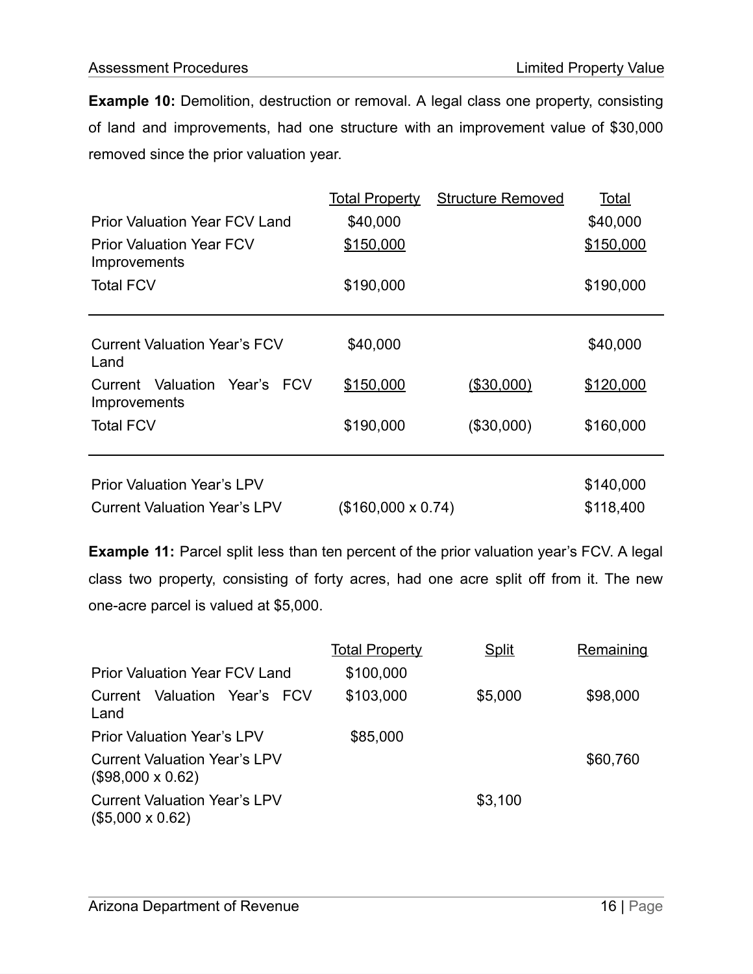**Example 10:** Demolition, destruction or removal. A legal class one property, consisting of land and improvements, had one structure with an improvement value of \$30,000 removed since the prior valuation year.

|                                                               | <b>Total Property</b>    | <b>Structure Removed</b> | Total     |
|---------------------------------------------------------------|--------------------------|--------------------------|-----------|
| <b>Prior Valuation Year FCV Land</b>                          | \$40,000                 |                          | \$40,000  |
| <b>Prior Valuation Year FCV</b><br>Improvements               | \$150,000                |                          | \$150,000 |
| <b>Total FCV</b>                                              | \$190,000                |                          | \$190,000 |
| <b>Current Valuation Year's FCV</b><br>Land                   | \$40,000                 |                          | \$40,000  |
| Current Valuation Year's<br><b>FCV</b><br><i>Improvements</i> | \$150,000                | (\$30,000)               | \$120,000 |
| <b>Total FCV</b>                                              | \$190,000                | (\$30,000)               | \$160,000 |
|                                                               |                          |                          |           |
| <b>Prior Valuation Year's LPV</b>                             |                          |                          | \$140,000 |
| <b>Current Valuation Year's LPV</b>                           | $($160,000 \times 0.74)$ |                          | \$118,400 |

**Example 11:** Parcel split less than ten percent of the prior valuation year's FCV. A legal class two property, consisting of forty acres, had one acre split off from it. The new one-acre parcel is valued at \$5,000.

|                                                                | <b>Total Property</b> | <b>Split</b> | Remaining |
|----------------------------------------------------------------|-----------------------|--------------|-----------|
| <b>Prior Valuation Year FCV Land</b>                           | \$100,000             |              |           |
| Current Valuation Year's FCV<br>Land                           | \$103,000             | \$5,000      | \$98,000  |
| <b>Prior Valuation Year's LPV</b>                              | \$85,000              |              |           |
| <b>Current Valuation Year's LPV</b><br>$($98,000 \times 0.62)$ |                       |              | \$60,760  |
| <b>Current Valuation Year's LPV</b><br>$($5,000 \times 0.62)$  |                       | \$3,100      |           |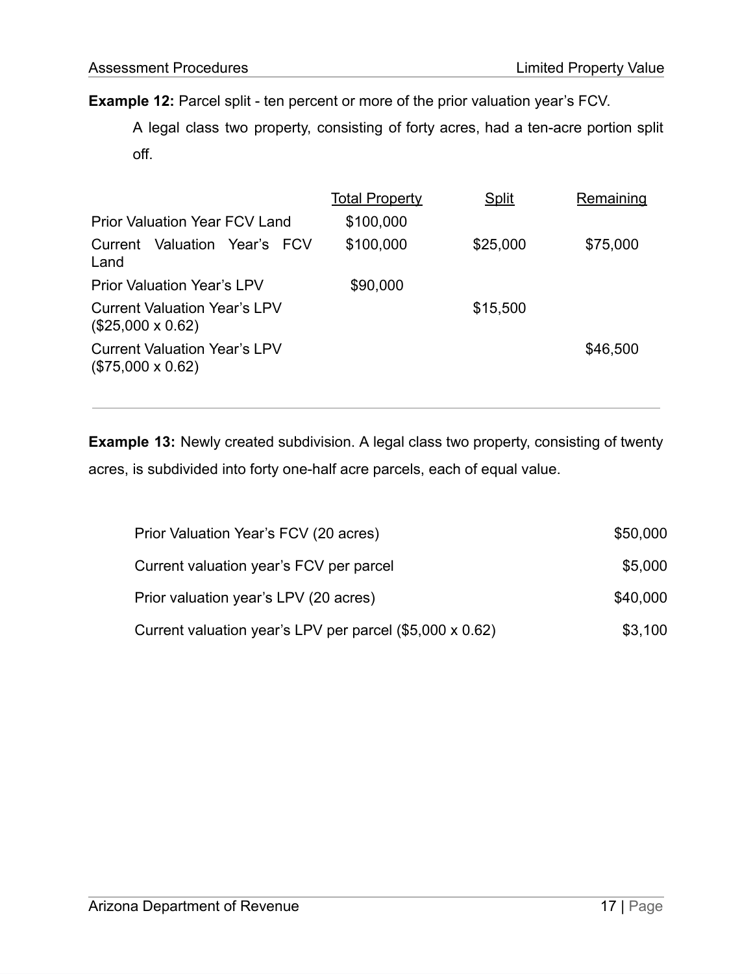**Example 12:** Parcel split - ten percent or more of the prior valuation year's FCV.

A legal class two property, consisting of forty acres, had a ten-acre portion split off.

| <u>Total Property</u> | <b>Split</b> | <u>Remaining</u> |
|-----------------------|--------------|------------------|
| \$100,000             |              |                  |
| \$100,000             | \$25,000     | \$75,000         |
| \$90,000              |              |                  |
|                       | \$15,500     |                  |
|                       |              | \$46,500         |
|                       |              |                  |

**Example 13:** Newly created subdivision. A legal class two property, consisting of twenty acres, is subdivided into forty one-half acre parcels, each of equal value.

| Prior Valuation Year's FCV (20 acres)                    | \$50,000 |
|----------------------------------------------------------|----------|
| Current valuation year's FCV per parcel                  | \$5,000  |
| Prior valuation year's LPV (20 acres)                    | \$40,000 |
| Current valuation year's LPV per parcel (\$5,000 x 0.62) | \$3,100  |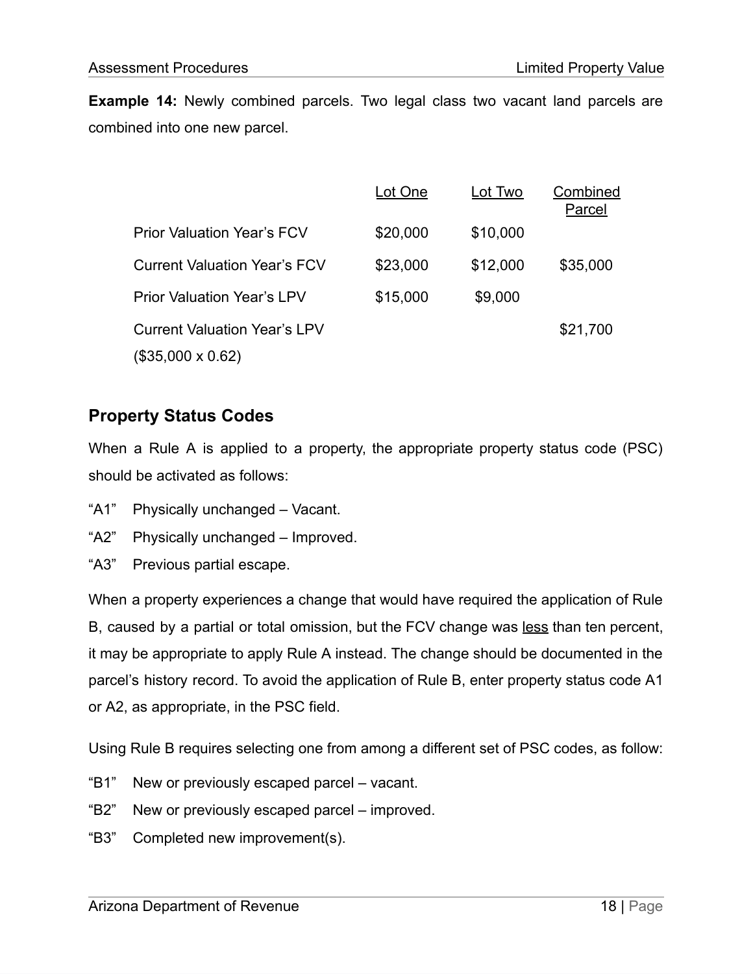**Example 14:** Newly combined parcels. Two legal class two vacant land parcels are combined into one new parcel.

|                                     | Lot One  | Lot Two  | Combined<br>Parcel |
|-------------------------------------|----------|----------|--------------------|
| <b>Prior Valuation Year's FCV</b>   | \$20,000 | \$10,000 |                    |
| <b>Current Valuation Year's FCV</b> | \$23,000 | \$12,000 | \$35,000           |
| <b>Prior Valuation Year's LPV</b>   | \$15,000 | \$9,000  |                    |
| <b>Current Valuation Year's LPV</b> |          |          | \$21,700           |
| $($35,000 \times 0.62)$             |          |          |                    |

#### **Property Status Codes**

When a Rule A is applied to a property, the appropriate property status code (PSC) should be activated as follows:

- "A1" Physically unchanged Vacant.
- "A2" Physically unchanged Improved.
- "A3" Previous partial escape.

When a property experiences a change that would have required the application of Rule B, caused by a partial or total omission, but the FCV change was less than ten percent, it may be appropriate to apply Rule A instead. The change should be documented in the parcel's history record. To avoid the application of Rule B, enter property status code A1 or A2, as appropriate, in the PSC field.

Using Rule B requires selecting one from among a different set of PSC codes, as follow:

- "B1" New or previously escaped parcel vacant.
- "B2" New or previously escaped parcel improved.
- "B3" Completed new improvement(s).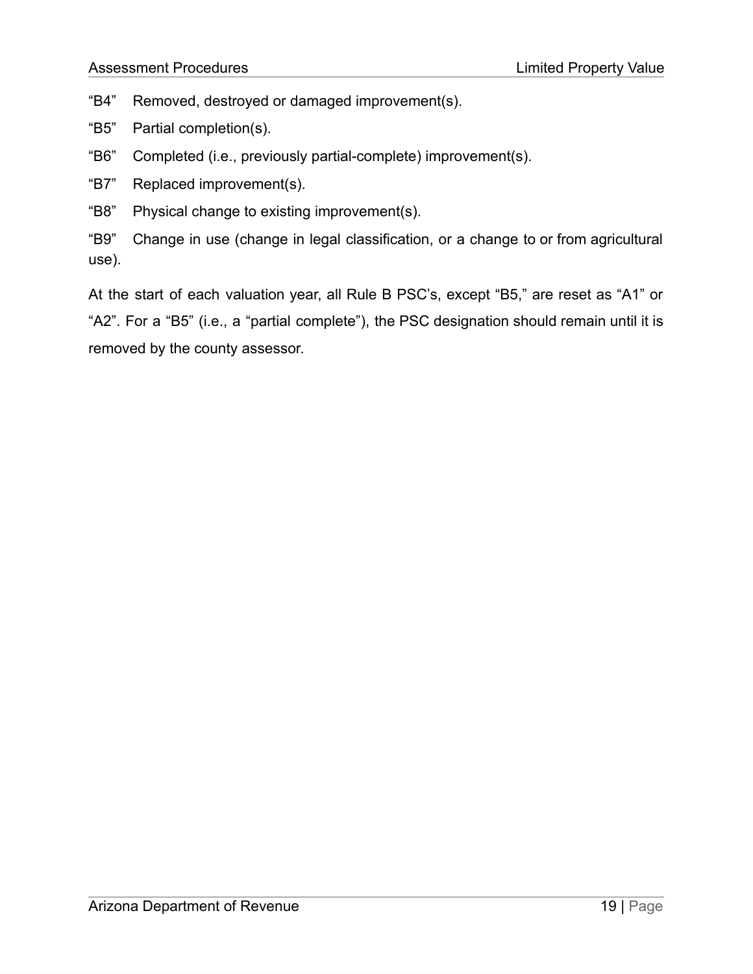- "B4" Removed, destroyed or damaged improvement(s).
- "B5" Partial completion(s).
- "B6" Completed (i.e., previously partial-complete) improvement(s).
- "B7" Replaced improvement(s).
- "B8" Physical change to existing improvement(s).

"B9" Change in use (change in legal classification, or a change to or from agricultural use).

At the start of each valuation year, all Rule B PSC's, except "B5," are reset as "A1" or "A2". For a "B5" (i.e., a "partial complete"), the PSC designation should remain until it is removed by the county assessor.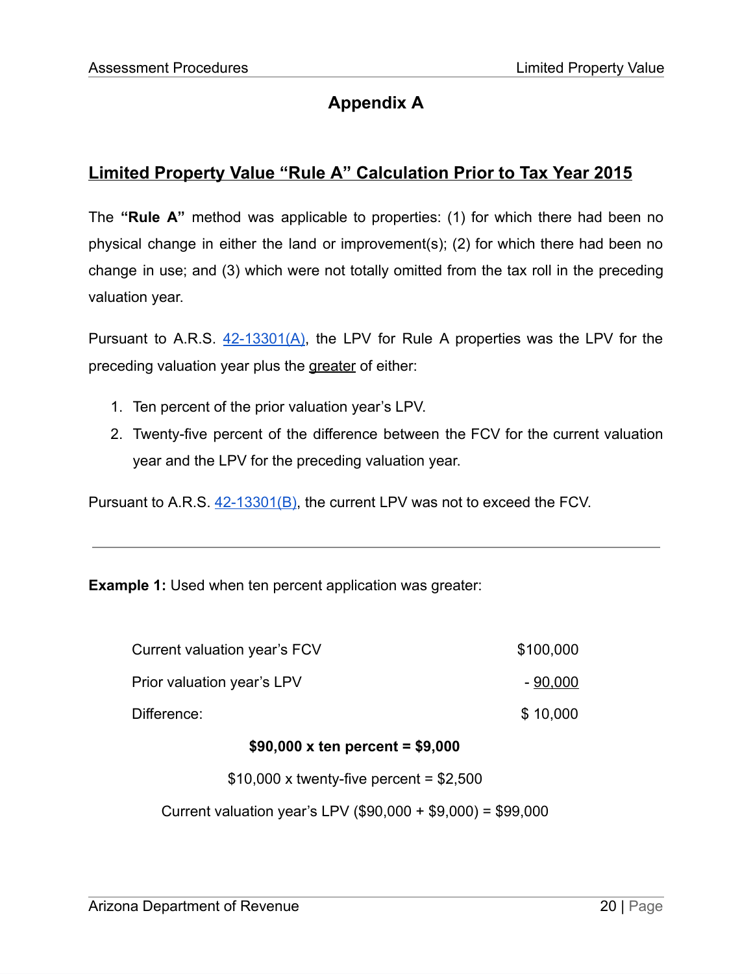# **Appendix A**

## **Limited Property Value "Rule A" Calculation Prior to Tax Year 2015**

The **"Rule A"** method was applicable to properties: (1) for which there had been no physical change in either the land or improvement(s); (2) for which there had been no change in use; and (3) which were not totally omitted from the tax roll in the preceding valuation year.

Pursuant to A.R.S. [42-13301\(A\)](https://www.azleg.gov/viewDocument/?docName=http://www.azleg.gov/ars/42/13301.htm), the LPV for Rule A properties was the LPV for the preceding valuation year plus the greater of either:

- 1. Ten percent of the prior valuation year's LPV.
- 2. Twenty-five percent of the difference between the FCV for the current valuation year and the LPV for the preceding valuation year.

Pursuant to A.R.S. [42-13301\(B\),](https://www.azleg.gov/viewDocument/?docName=http://www.azleg.gov/ars/42/13301.htm) the current LPV was not to exceed the FCV.

**Example 1:** Used when ten percent application was greater:

| Current valuation year's FCV | \$100,000 |
|------------------------------|-----------|
| Prior valuation year's LPV   | $-90,000$ |
| Difference:                  | \$10,000  |

#### **\$90,000 x ten percent = \$9,000**

 $$10,000$  x twenty-five percent =  $$2,500$ 

Current valuation year's LPV (\$90,000 + \$9,000) = \$99,000